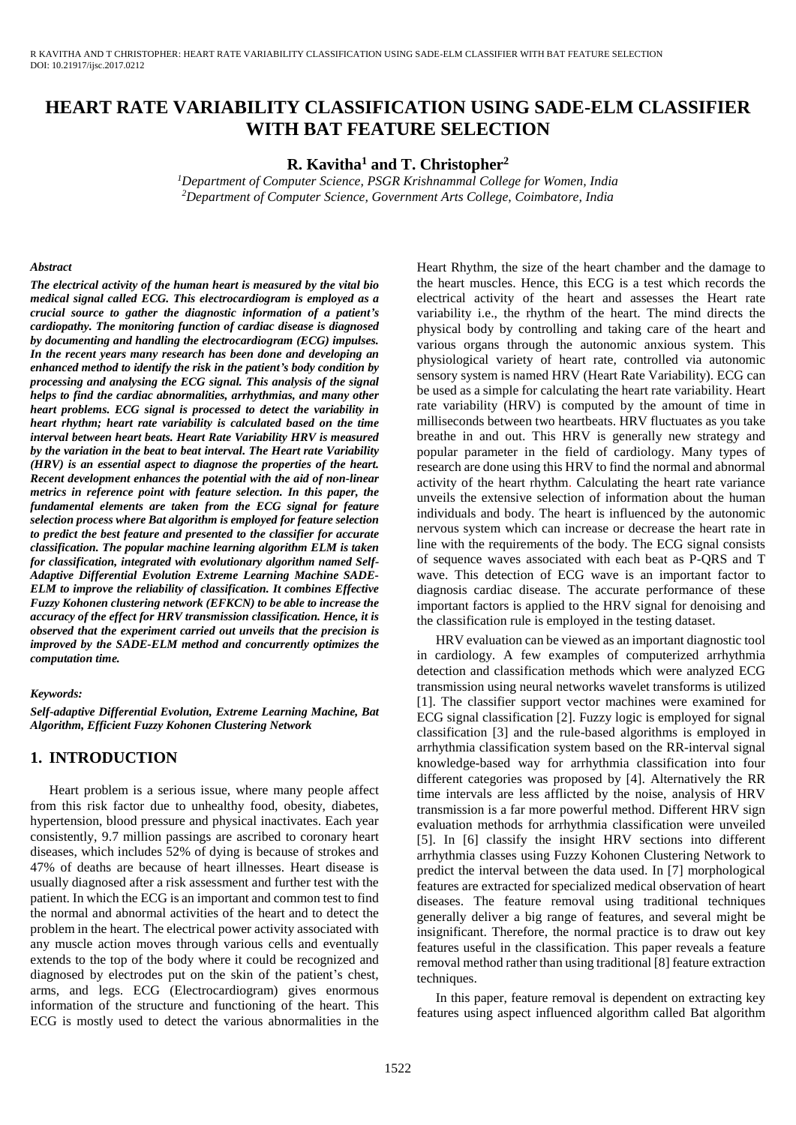# **HEART RATE VARIABILITY CLASSIFICATION USING SADE-ELM CLASSIFIER WITH BAT FEATURE SELECTION**

**R. Kavitha<sup>1</sup> and T. Christopher<sup>2</sup>**

*<sup>1</sup>Department of Computer Science, PSGR Krishnammal College for Women, India <sup>2</sup>Department of Computer Science, Government Arts College, Coimbatore, India*

#### *Abstract*

*The electrical activity of the human heart is measured by the vital bio medical signal called ECG. This electrocardiogram is employed as a crucial source to gather the diagnostic information of a patient's cardiopathy. The monitoring function of cardiac disease is diagnosed by documenting and handling the electrocardiogram (ECG) impulses. In the recent years many research has been done and developing an enhanced method to identify the risk in the patient's body condition by processing and analysing the ECG signal. This analysis of the signal helps to find the cardiac abnormalities, arrhythmias, and many other heart problems. ECG signal is processed to detect the variability in heart rhythm; heart rate variability is calculated based on the time interval between heart beats. Heart Rate Variability HRV is measured by the variation in the beat to beat interval. The Heart rate Variability (HRV) is an essential aspect to diagnose the properties of the heart. Recent development enhances the potential with the aid of non-linear metrics in reference point with feature selection. In this paper, the fundamental elements are taken from the ECG signal for feature selection process where Bat algorithm is employed for feature selection to predict the best feature and presented to the classifier for accurate classification. The popular machine learning algorithm ELM is taken for classification, integrated with evolutionary algorithm named Self-Adaptive Differential Evolution Extreme Learning Machine SADE-ELM to improve the reliability of classification. It combines Effective Fuzzy Kohonen clustering network (EFKCN) to be able to increase the accuracy of the effect for HRV transmission classification. Hence, it is observed that the experiment carried out unveils that the precision is improved by the SADE-ELM method and concurrently optimizes the computation time.* 

#### *Keywords:*

*Self-adaptive Differential Evolution, Extreme Learning Machine, Bat Algorithm, Efficient Fuzzy Kohonen Clustering Network*

### **1. INTRODUCTION**

Heart problem is a serious issue, where many people affect from this risk factor due to unhealthy food, obesity, diabetes, hypertension, blood pressure and physical inactivates. Each year consistently, 9.7 million passings are ascribed to coronary heart diseases, which includes 52% of dying is because of strokes and 47% of deaths are because of heart illnesses. Heart disease is usually diagnosed after a risk assessment and further test with the patient. In which the ECG is an important and common test to find the normal and abnormal activities of the heart and to detect the problem in the heart. The electrical power activity associated with any muscle action moves through various cells and eventually extends to the top of the body where it could be recognized and diagnosed by electrodes put on the skin of the patient's chest, arms, and legs. ECG (Electrocardiogram) gives enormous information of the structure and functioning of the heart. This ECG is mostly used to detect the various abnormalities in the

Heart Rhythm, the size of the heart chamber and the damage to the heart muscles. Hence, this ECG is a test which records the electrical activity of the heart and assesses the Heart rate variability i.e., the rhythm of the heart. The mind directs the physical body by controlling and taking care of the heart and various organs through the autonomic anxious system. This physiological variety of heart rate, controlled via autonomic sensory system is named HRV (Heart Rate Variability). ECG can be used as a simple for calculating the heart rate variability. Heart rate variability (HRV) is computed by the amount of time in milliseconds between two heartbeats. HRV fluctuates as you take breathe in and out. This HRV is generally new strategy and popular parameter in the field of cardiology. Many types of research are done using this HRV to find the normal and abnormal activity of the heart rhythm. Calculating the heart rate variance unveils the extensive selection of information about the human individuals and body. The heart is influenced by the autonomic nervous system which can increase or decrease the heart rate in line with the requirements of the body. The ECG signal consists of sequence waves associated with each beat as P-QRS and T wave. This detection of ECG wave is an important factor to diagnosis cardiac disease. The accurate performance of these important factors is applied to the HRV signal for denoising and the classification rule is employed in the testing dataset.

HRV evaluation can be viewed as an important diagnostic tool in cardiology. A few examples of computerized arrhythmia detection and classification methods which were analyzed ECG transmission using neural networks wavelet transforms is utilized [1]. The classifier support vector machines were examined for ECG signal classification [2]. Fuzzy logic is employed for signal classification [3] and the rule-based algorithms is employed in arrhythmia classification system based on the RR-interval signal knowledge-based way for arrhythmia classification into four different categories was proposed by [4]. Alternatively the RR time intervals are less afflicted by the noise, analysis of HRV transmission is a far more powerful method. Different HRV sign evaluation methods for arrhythmia classification were unveiled [5]. In [6] classify the insight HRV sections into different arrhythmia classes using Fuzzy Kohonen Clustering Network to predict the interval between the data used. In [7] morphological features are extracted for specialized medical observation of heart diseases. The feature removal using traditional techniques generally deliver a big range of features, and several might be insignificant. Therefore, the normal practice is to draw out key features useful in the classification. This paper reveals a feature removal method rather than using traditional [8] feature extraction techniques.

In this paper, feature removal is dependent on extracting key features using aspect influenced algorithm called Bat algorithm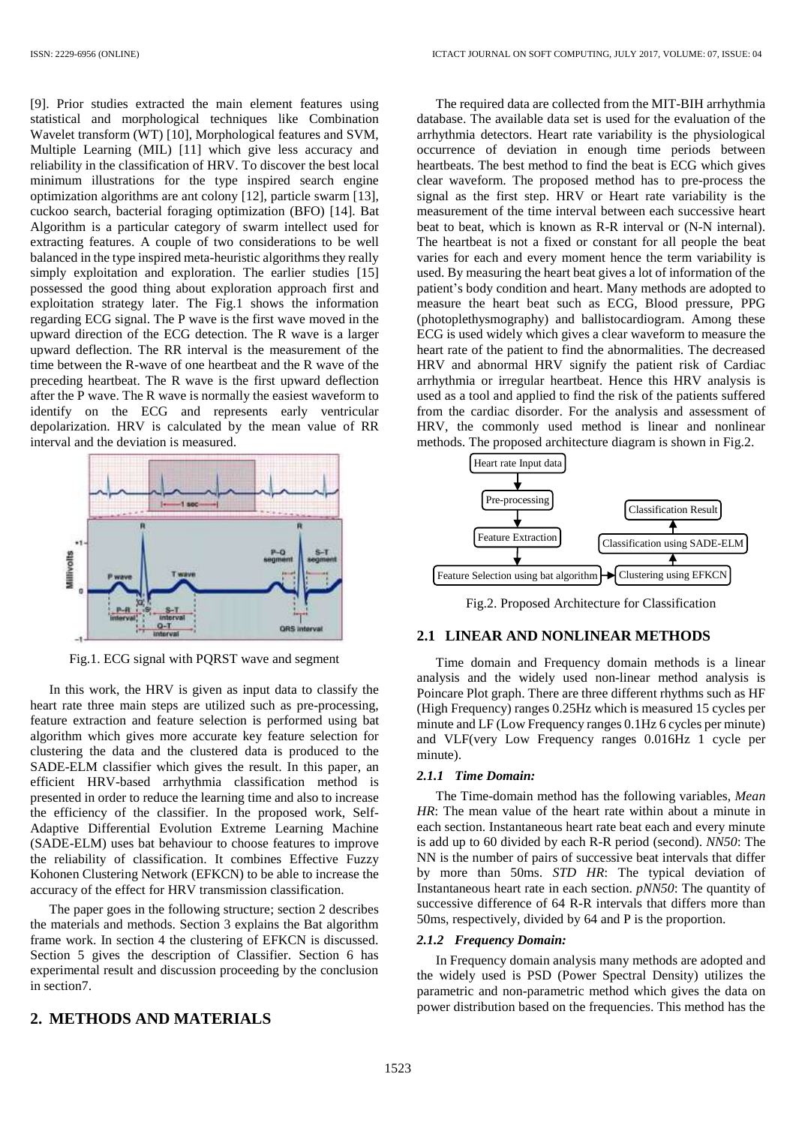[9]. Prior studies extracted the main element features using statistical and morphological techniques like Combination Wavelet transform (WT) [10], Morphological features and SVM, Multiple Learning (MIL) [11] which give less accuracy and reliability in the classification of HRV. To discover the best local minimum illustrations for the type inspired search engine optimization algorithms are ant colony [12], particle swarm [13], cuckoo search, bacterial foraging optimization (BFO) [14]. Bat Algorithm is a particular category of swarm intellect used for extracting features. A couple of two considerations to be well balanced in the type inspired meta-heuristic algorithms they really simply exploitation and exploration. The earlier studies [15] possessed the good thing about exploration approach first and exploitation strategy later. The Fig.1 shows the information regarding ECG signal. The P wave is the first wave moved in the upward direction of the ECG detection. The R wave is a larger upward deflection. The RR interval is the measurement of the time between the R-wave of one heartbeat and the R wave of the preceding heartbeat. The R wave is the first upward deflection after the P wave. The R wave is normally the easiest waveform to identify on the ECG and represents early ventricular depolarization. HRV is calculated by the mean value of RR interval and the deviation is measured.



Fig.1. ECG signal with PQRST wave and segment

In this work, the HRV is given as input data to classify the heart rate three main steps are utilized such as pre-processing, feature extraction and feature selection is performed using bat algorithm which gives more accurate key feature selection for clustering the data and the clustered data is produced to the SADE-ELM classifier which gives the result. In this paper, an efficient HRV-based arrhythmia classification method is presented in order to reduce the learning time and also to increase the efficiency of the classifier. In the proposed work, Self-Adaptive Differential Evolution Extreme Learning Machine (SADE-ELM) uses bat behaviour to choose features to improve the reliability of classification. It combines Effective Fuzzy Kohonen Clustering Network (EFKCN) to be able to increase the accuracy of the effect for HRV transmission classification.

The paper goes in the following structure; section 2 describes the materials and methods. Section 3 explains the Bat algorithm frame work. In section 4 the clustering of EFKCN is discussed. Section 5 gives the description of Classifier. Section 6 has experimental result and discussion proceeding by the conclusion in section7.

### **2. METHODS AND MATERIALS**

The required data are collected from the MIT-BIH arrhythmia database. The available data set is used for the evaluation of the arrhythmia detectors. Heart rate variability is the physiological occurrence of deviation in enough time periods between heartbeats. The best method to find the beat is ECG which gives clear waveform. The proposed method has to pre-process the signal as the first step. HRV or Heart rate variability is the measurement of the time interval between each successive heart beat to beat, which is known as R-R interval or (N-N internal). The heartbeat is not a fixed or constant for all people the beat varies for each and every moment hence the term variability is used. By measuring the heart beat gives a lot of information of the patient's body condition and heart. Many methods are adopted to measure the heart beat such as ECG, Blood pressure, PPG (photoplethysmography) and ballistocardiogram. Among these ECG is used widely which gives a clear waveform to measure the heart rate of the patient to find the abnormalities. The decreased HRV and abnormal HRV signify the patient risk of Cardiac arrhythmia or irregular heartbeat. Hence this HRV analysis is used as a tool and applied to find the risk of the patients suffered from the cardiac disorder. For the analysis and assessment of HRV, the commonly used method is linear and nonlinear methods. The proposed architecture diagram is shown in Fig.2.



Fig.2. Proposed Architecture for Classification

#### **2.1 LINEAR AND NONLINEAR METHODS**

Time domain and Frequency domain methods is a linear analysis and the widely used non-linear method analysis is Poincare Plot graph. There are three different rhythms such as HF (High Frequency) ranges 0.25Hz which is measured 15 cycles per minute and LF (Low Frequency ranges 0.1Hz 6 cycles per minute) and VLF(very Low Frequency ranges 0.016Hz 1 cycle per minute).

#### *2.1.1 Time Domain:*

The Time-domain method has the following variables, *Mean HR*: The mean value of the heart rate within about a minute in each section. Instantaneous heart rate beat each and every minute is add up to 60 divided by each R-R period (second). *NN50*: The NN is the number of pairs of successive beat intervals that differ by more than 50ms. *STD HR*: The typical deviation of Instantaneous heart rate in each section. *pNN50*: The quantity of successive difference of 64 R-R intervals that differs more than 50ms, respectively, divided by 64 and P is the proportion.

#### *2.1.2 Frequency Domain:*

In Frequency domain analysis many methods are adopted and the widely used is PSD (Power Spectral Density) utilizes the parametric and non-parametric method which gives the data on power distribution based on the frequencies. This method has the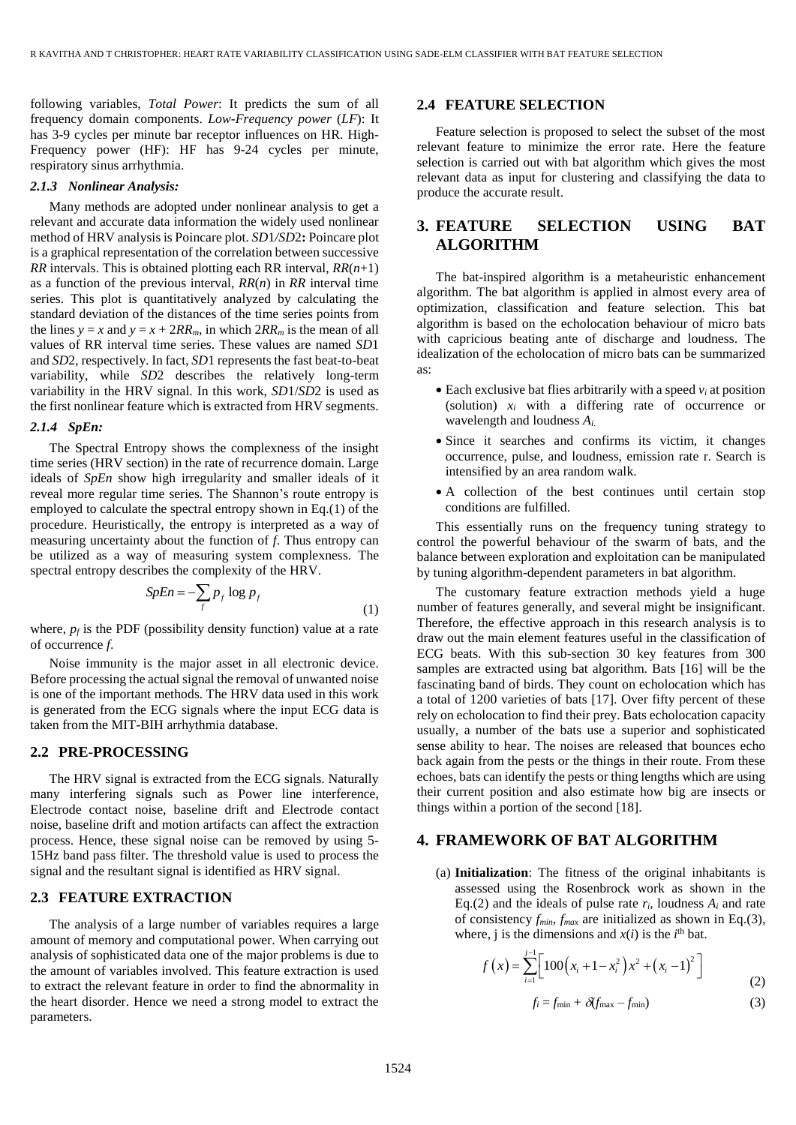following variables, *Total Power*: It predicts the sum of all frequency domain components. *Low-Frequency power* (*LF*): It has 3-9 cycles per minute bar receptor influences on HR. High-Frequency power (HF): HF has 9-24 cycles per minute, respiratory sinus arrhythmia.

#### *2.1.3 Nonlinear Analysis:*

Many methods are adopted under nonlinear analysis to get a relevant and accurate data information the widely used nonlinear method of HRV analysis is Poincare plot. *SD*1*/SD*2**:** Poincare plot is a graphical representation of the correlation between successive *RR* intervals. This is obtained plotting each RR interval, *RR*(*n*+1) as a function of the previous interval, *RR*(*n*) in *RR* interval time series. This plot is quantitatively analyzed by calculating the standard deviation of the distances of the time series points from the lines  $y = x$  and  $y = x + 2RR_m$ , in which  $2RR_m$  is the mean of all values of RR interval time series. These values are named *SD*1 and *SD*2, respectively. In fact, *SD*1 represents the fast beat-to-beat variability, while *SD*2 describes the relatively long-term variability in the HRV signal. In this work, *SD*1/*SD*2 is used as the first nonlinear feature which is extracted from HRV segments.

#### *2.1.4 SpEn:*

The Spectral Entropy shows the complexness of the insight time series (HRV section) in the rate of recurrence domain. Large ideals of *SpEn* show high irregularity and smaller ideals of it reveal more regular time series. The Shannon's route entropy is employed to calculate the spectral entropy shown in Eq.(1) of the procedure. Heuristically, the entropy is interpreted as a way of measuring uncertainty about the function of *f*. Thus entropy can be utilized as a way of measuring system complexness. The spectral entropy describes the complexity of the HRV.

$$
SpEn = -\sum_{f} p_{f} \log p_{f}
$$

where,  $p_f$  is the PDF (possibility density function) value at a rate of occurrence *f*.

Noise immunity is the major asset in all electronic device. Before processing the actual signal the removal of unwanted noise is one of the important methods. The HRV data used in this work is generated from the ECG signals where the input ECG data is taken from the MIT-BIH arrhythmia database.

### **2.2 PRE-PROCESSING**

The HRV signal is extracted from the ECG signals. Naturally many interfering signals such as Power line interference, Electrode contact noise, baseline drift and Electrode contact noise, baseline drift and motion artifacts can affect the extraction process. Hence, these signal noise can be removed by using 5- 15Hz band pass filter. The threshold value is used to process the signal and the resultant signal is identified as HRV signal.

## **2.3 FEATURE EXTRACTION**

The analysis of a large number of variables requires a large amount of memory and computational power. When carrying out analysis of sophisticated data one of the major problems is due to the amount of variables involved. This feature extraction is used to extract the relevant feature in order to find the abnormality in the heart disorder. Hence we need a strong model to extract the parameters.

### **2.4 FEATURE SELECTION**

Feature selection is proposed to select the subset of the most relevant feature to minimize the error rate. Here the feature selection is carried out with bat algorithm which gives the most relevant data as input for clustering and classifying the data to produce the accurate result.

# **3. FEATURE SELECTION USING BAT ALGORITHM**

The bat-inspired algorithm is a metaheuristic enhancement algorithm. The bat algorithm is applied in almost every area of optimization, classification and feature selection. This bat algorithm is based on the echolocation behaviour of micro bats with capricious beating ante of discharge and loudness. The idealization of the echolocation of micro bats can be summarized as:

- $\bullet$  Each exclusive bat flies arbitrarily with a speed  $v_i$  at position (solution) *x<sup>i</sup>* with a differing rate of occurrence or wavelength and loudness *Ai*.
- Since it searches and confirms its victim, it changes occurrence, pulse, and loudness, emission rate r. Search is intensified by an area random walk.
- A collection of the best continues until certain stop conditions are fulfilled.

This essentially runs on the frequency tuning strategy to control the powerful behaviour of the swarm of bats, and the balance between exploration and exploitation can be manipulated by tuning algorithm-dependent parameters in bat algorithm.

The customary feature extraction methods yield a huge number of features generally, and several might be insignificant. Therefore, the effective approach in this research analysis is to draw out the main element features useful in the classification of ECG beats. With this sub-section 30 key features from 300 samples are extracted using bat algorithm. Bats [16] will be the fascinating band of birds. They count on echolocation which has a total of 1200 varieties of bats [17]. Over fifty percent of these rely on echolocation to find their prey. Bats echolocation capacity usually, a number of the bats use a superior and sophisticated sense ability to hear. The noises are released that bounces echo back again from the pests or the things in their route. From these echoes, bats can identify the pests or thing lengths which are using their current position and also estimate how big are insects or things within a portion of the second [18].

# **4. FRAMEWORK OF BAT ALGORITHM**

(a) **Initialization**: The fitness of the original inhabitants is assessed using the Rosenbrock work as shown in the Eq.(2) and the ideals of pulse rate  $r_i$ , loudness  $A_i$  and rate of consistency *fmin*, *fmax* are initialized as shown in Eq.(3), where, j is the dimensions and  $x(i)$  is the  $i<sup>th</sup>$  bat.

$$
f(x) = \sum_{i=1}^{j-1} \left[ 100\left(x_i + 1 - x_i^2\right) x^2 + \left(x_i - 1\right)^2 \right]
$$
 (2)

$$
f_i = f_{\min} + \delta(f_{\max} - f_{\min})
$$
 (3)

(1)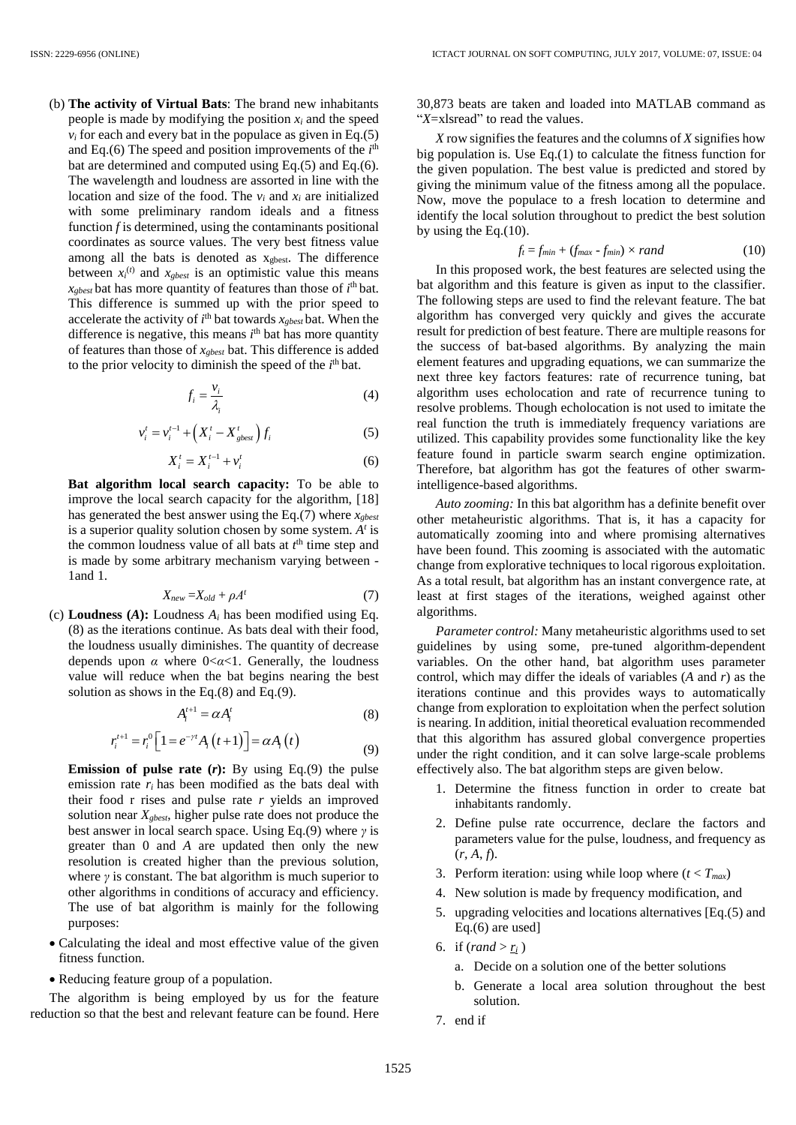(b) **The activity of Virtual Bats**: The brand new inhabitants people is made by modifying the position  $x_i$  and the speed  $v_i$  for each and every bat in the populace as given in Eq.(5) and Eq.(6) The speed and position improvements of the  $i<sup>th</sup>$ bat are determined and computed using Eq.(5) and Eq.(6). The wavelength and loudness are assorted in line with the location and size of the food. The  $v_i$  and  $x_i$  are initialized with some preliminary random ideals and a fitness function  $f$  is determined, using the contaminants positional coordinates as source values. The very best fitness value among all the bats is denoted as xgbest. The difference between  $x_i^{(t)}$  and  $x_{gbest}$  is an optimistic value this means  $x_{\text{gbest}}$  bat has more quantity of features than those of  $i^{\text{th}}$  bat. This difference is summed up with the prior speed to accelerate the activity of  $i<sup>th</sup>$  bat towards  $x_{gbest}$  bat. When the difference is negative, this means *i*<sup>th</sup> bat has more quantity of features than those of *xgbest* bat. This difference is added to the prior velocity to diminish the speed of the  $i<sup>th</sup>$  bat.

$$
f_i = \frac{v_i}{\lambda_i} \tag{4}
$$

$$
v_i^t = v_i^{t-1} + \left(X_i^t - X_{gbest}^t\right) f_i
$$
 (5)

$$
X_i^t = X_i^{t-1} + v_i^t \tag{6}
$$

**Bat algorithm local search capacity:** To be able to improve the local search capacity for the algorithm, [18] has generated the best answer using the Eq.(7) where *xgbest* is a superior quality solution chosen by some system. *A t* is the common loudness value of all bats at  $t<sup>th</sup>$  time step and is made by some arbitrary mechanism varying between - 1and 1.

$$
X_{new} = X_{old} + \rho A^t \tag{7}
$$

(c) **Loudness** (A): Loudness  $A_i$  has been modified using Eq. (8) as the iterations continue. As bats deal with their food, the loudness usually diminishes. The quantity of decrease depends upon *α* where 0<*α*<1. Generally, the loudness value will reduce when the bat begins nearing the best solution as shows in the Eq.(8) and Eq.(9).

$$
A_i^{t+1} = \alpha A_i^t \tag{8}
$$

$$
r_i^{t+1} = r_i^0 \left[ 1 = e^{-\gamma t} A_i \left( t + 1 \right) \right] = \alpha A_i \left( t \right)
$$
\n(9)

- **Emission of pulse rate (***r***):** By using Eq.(9) the pulse emission rate  $r_i$  has been modified as the bats deal with their food r rises and pulse rate *r* yields an improved solution near *Xgbest*, higher pulse rate does not produce the best answer in local search space. Using Eq.(9) where *γ* is greater than 0 and *A* are updated then only the new resolution is created higher than the previous solution, where  $\gamma$  is constant. The bat algorithm is much superior to other algorithms in conditions of accuracy and efficiency. The use of bat algorithm is mainly for the following purposes:
- Calculating the ideal and most effective value of the given fitness function.
- Reducing feature group of a population.

The algorithm is being employed by us for the feature reduction so that the best and relevant feature can be found. Here

30,873 beats are taken and loaded into MATLAB command as "*X*=xlsread" to read the values.

X row signifies the features and the columns of *X* signifies how big population is. Use Eq.(1) to calculate the fitness function for the given population. The best value is predicted and stored by giving the minimum value of the fitness among all the populace. Now, move the populace to a fresh location to determine and identify the local solution throughout to predict the best solution by using the Eq.(10).

$$
f_t = f_{min} + (f_{max} - f_{min}) \times rand \tag{10}
$$

In this proposed work, the best features are selected using the bat algorithm and this feature is given as input to the classifier. The following steps are used to find the relevant feature. The bat algorithm has converged very quickly and gives the accurate result for prediction of best feature. There are multiple reasons for the success of bat-based algorithms. By analyzing the main element features and upgrading equations, we can summarize the next three key factors features: rate of recurrence tuning, bat algorithm uses echolocation and rate of recurrence tuning to resolve problems. Though echolocation is not used to imitate the real function the truth is immediately frequency variations are utilized. This capability provides some functionality like the key feature found in particle swarm search engine optimization. Therefore, bat algorithm has got the features of other swarmintelligence-based algorithms.

*Auto zooming:* In this bat algorithm has a definite benefit over other metaheuristic algorithms. That is, it has a capacity for automatically zooming into and where promising alternatives have been found. This zooming is associated with the automatic change from explorative techniques to local rigorous exploitation. As a total result, bat algorithm has an instant convergence rate, at least at first stages of the iterations, weighed against other algorithms.

*Parameter control:* Many metaheuristic algorithms used to set guidelines by using some, pre-tuned algorithm-dependent variables. On the other hand, bat algorithm uses parameter control, which may differ the ideals of variables (*A* and *r*) as the iterations continue and this provides ways to automatically change from exploration to exploitation when the perfect solution is nearing. In addition, initial theoretical evaluation recommended that this algorithm has assured global convergence properties under the right condition, and it can solve large-scale problems effectively also. The bat algorithm steps are given below.

- 1. Determine the fitness function in order to create bat inhabitants randomly.
- 2. Define pulse rate occurrence, declare the factors and parameters value for the pulse, loudness, and frequency as  $(r, A, f)$ .
- 3. Perform iteration: using while loop where  $(t < T_{max})$
- 4. New solution is made by frequency modification, and
- 5. upgrading velocities and locations alternatives [Eq.(5) and Eq.(6) are used]
- 6. if  $(range\cdot r_i}{\text{rand} > r_i}$ 
	- a. Decide on a solution one of the better solutions
	- b. Generate a local area solution throughout the best solution.
- 7. end if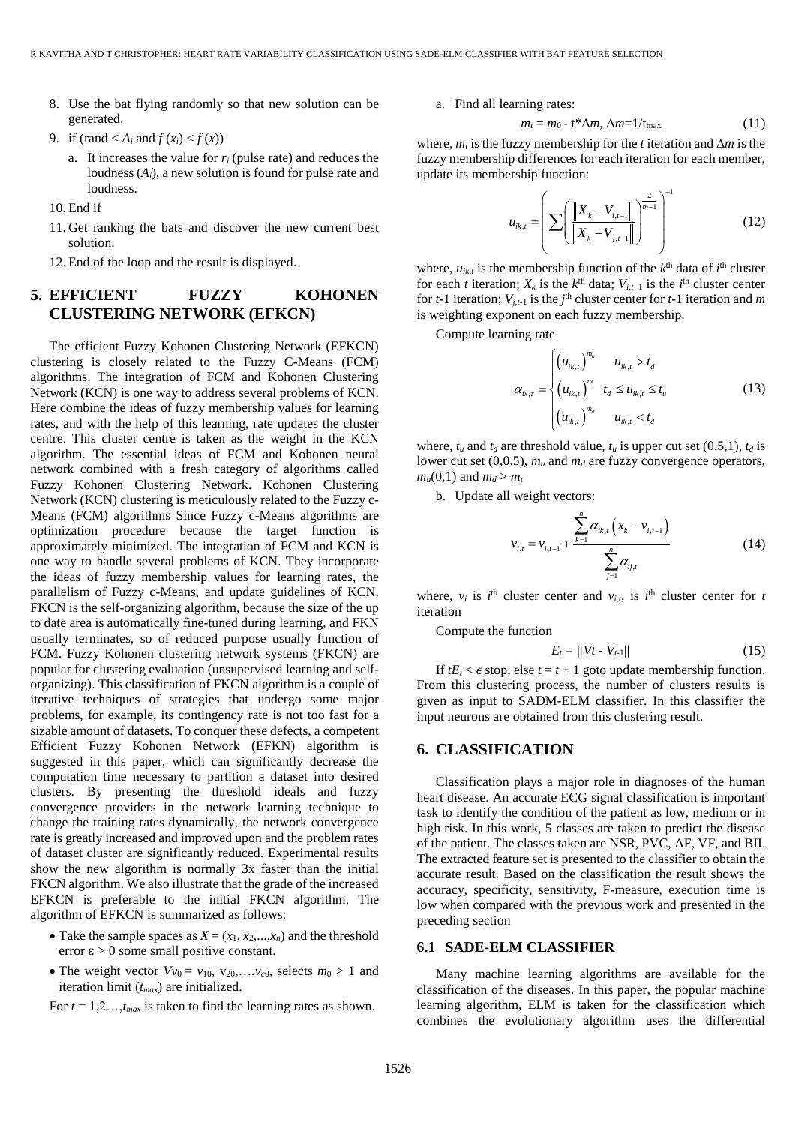- 8. Use the bat flying randomly so that new solution can be generated.
- 9. if (rand  $\langle A_i \text{ and } f(x_i) \langle f(x) \rangle$ )
	- a. It increases the value for *r<sup>i</sup>* (pulse rate) and reduces the loudness (*Ai*), a new solution is found for pulse rate and loudness.
- 10. End if
- 11. Get ranking the bats and discover the new current best solution.
- 12. End of the loop and the result is displayed.

# **5. EFFICIENT FUZZY KOHONEN CLUSTERING NETWORK (EFKCN)**

The efficient Fuzzy Kohonen Clustering Network (EFKCN) clustering is closely related to the Fuzzy C-Means (FCM) algorithms. The integration of FCM and Kohonen Clustering Network (KCN) is one way to address several problems of KCN. Here combine the ideas of fuzzy membership values for learning rates, and with the help of this learning, rate updates the cluster centre. This cluster centre is taken as the weight in the KCN algorithm. The essential ideas of FCM and Kohonen neural network combined with a fresh category of algorithms called Fuzzy Kohonen Clustering Network. Kohonen Clustering Network (KCN) clustering is meticulously related to the Fuzzy c-Means (FCM) algorithms Since Fuzzy c-Means algorithms are optimization procedure because the target function is approximately minimized. The integration of FCM and KCN is one way to handle several problems of KCN. They incorporate the ideas of fuzzy membership values for learning rates, the parallelism of Fuzzy c-Means, and update guidelines of KCN. FKCN is the self-organizing algorithm, because the size of the up to date area is automatically fine-tuned during learning, and FKN usually terminates, so of reduced purpose usually function of FCM. Fuzzy Kohonen clustering network systems (FKCN) are popular for clustering evaluation (unsupervised learning and selforganizing). This classification of FKCN algorithm is a couple of iterative techniques of strategies that undergo some major problems, for example, its contingency rate is not too fast for a sizable amount of datasets. To conquer these defects, a competent Efficient Fuzzy Kohonen Network (EFKN) algorithm is suggested in this paper, which can significantly decrease the computation time necessary to partition a dataset into desired clusters. By presenting the threshold ideals and fuzzy convergence providers in the network learning technique to change the training rates dynamically, the network convergence rate is greatly increased and improved upon and the problem rates of dataset cluster are significantly reduced. Experimental results show the new algorithm is normally 3x faster than the initial FKCN algorithm. We also illustrate that the grade of the increased EFKCN is preferable to the initial FKCN algorithm. The algorithm of EFKCN is summarized as follows:

- Take the sample spaces as  $X = (x_1, x_2,...,x_n)$  and the threshold error  $\epsilon > 0$  some small positive constant.
- The weight vector  $Vv_0 = v_{10}$ ,  $v_{20}$ , ...,  $v_{c0}$ , selects  $m_0 > 1$  and iteration limit (*tmax*) are initialized.

For  $t = 1, 2, \ldots, t_{max}$  is taken to find the learning rates as shown.

a. Find all learning rates:

$$
m_t = m_0 - \mathbf{t}^* \Delta m, \, \Delta m = 1 / t_{\text{max}} \tag{11}
$$

where,  $m_t$  is the fuzzy membership for the *t* iteration and  $\Delta m$  is the fuzzy membership differences for each iteration for each member, update its membership function:

$$
u_{ik,t} = \left( \sum \left( \frac{\left\| X_k - V_{i,t-1} \right\|}{\left\| X_k - V_{j,t-1} \right\|} \right)^{\frac{2}{m-1}} \right)^{-1}
$$
(12)

where,  $u_{ik,t}$  is the membership function of the  $k^{\text{th}}$  data of  $i^{\text{th}}$  cluster for each *t* iteration;  $X_k$  is the  $k^{\text{th}}$  data;  $V_{i,t-1}$  is the  $i^{\text{th}}$  cluster center for *t*-1 iteration;  $V_{j,t-1}$  is the *j*<sup>th</sup> cluster center for *t*-1 iteration and *m* is weighting exponent on each fuzzy membership.

Compute learning rate

$$
\alpha_{ix,r} = \begin{cases} \left(u_{ik,t}\right)^{m_u} & u_{ik,t} > t_d\\ \left(u_{ik,t}\right)^{m_i} & t_d \le u_{ik,t} \le t_u\\ \left(u_{ik,t}\right)^{m_d} & u_{ik,t} < t_d \end{cases}
$$
 (13)

where,  $t_u$  and  $t_d$  are threshold value,  $t_u$  is upper cut set (0.5,1),  $t_d$  is lower cut set (0,0.5), *m<sup>u</sup>* and *m<sup>d</sup>* are fuzzy convergence operators,  $m_u(0,1)$  and  $m_d > m_t$ 

b. Update all weight vectors:

$$
v_{i,t} = v_{i,t-1} + \frac{\sum_{k=1}^{n} \alpha_{ik,t} (x_k - v_{i,t-1})}{\sum_{j=1}^{n} \alpha_{ij,t}}
$$
(14)

where,  $v_i$  is  $i^{\text{th}}$  cluster center and  $v_{i,t}$ , is  $i^{\text{th}}$  cluster center for *t* iteration

Compute the function

$$
E_t = ||Vt - V_{t-1}|| \tag{15}
$$

If  $tE_t < \epsilon$  stop, else  $t = t + 1$  goto update membership function. From this clustering process, the number of clusters results is given as input to SADM-ELM classifier. In this classifier the input neurons are obtained from this clustering result.

### **6. CLASSIFICATION**

Classification plays a major role in diagnoses of the human heart disease. An accurate ECG signal classification is important task to identify the condition of the patient as low, medium or in high risk. In this work, 5 classes are taken to predict the disease of the patient. The classes taken are NSR, PVC, AF, VF, and BII. The extracted feature set is presented to the classifier to obtain the accurate result. Based on the classification the result shows the accuracy, specificity, sensitivity, F-measure, execution time is low when compared with the previous work and presented in the preceding section

#### **6.1 SADE-ELM CLASSIFIER**

Many machine learning algorithms are available for the classification of the diseases. In this paper, the popular machine learning algorithm, ELM is taken for the classification which combines the evolutionary algorithm uses the differential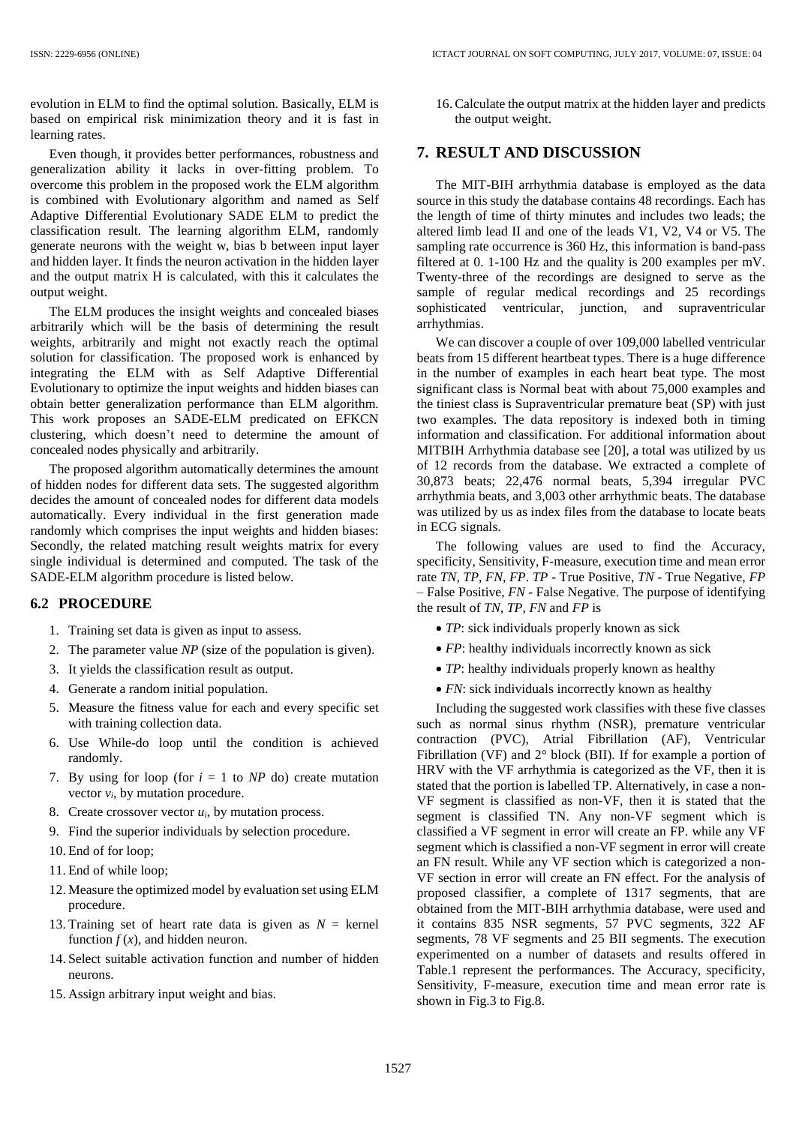evolution in ELM to find the optimal solution. Basically, ELM is based on empirical risk minimization theory and it is fast in learning rates.

Even though, it provides better performances, robustness and generalization ability it lacks in over-fitting problem. To overcome this problem in the proposed work the ELM algorithm is combined with Evolutionary algorithm and named as Self Adaptive Differential Evolutionary SADE ELM to predict the classification result. The learning algorithm ELM, randomly generate neurons with the weight w, bias b between input layer and hidden layer. It finds the neuron activation in the hidden layer and the output matrix H is calculated, with this it calculates the output weight.

The ELM produces the insight weights and concealed biases arbitrarily which will be the basis of determining the result weights, arbitrarily and might not exactly reach the optimal solution for classification. The proposed work is enhanced by integrating the ELM with as Self Adaptive Differential Evolutionary to optimize the input weights and hidden biases can obtain better generalization performance than ELM algorithm. This work proposes an SADE-ELM predicated on EFKCN clustering, which doesn't need to determine the amount of concealed nodes physically and arbitrarily.

The proposed algorithm automatically determines the amount of hidden nodes for different data sets. The suggested algorithm decides the amount of concealed nodes for different data models automatically. Every individual in the first generation made randomly which comprises the input weights and hidden biases: Secondly, the related matching result weights matrix for every single individual is determined and computed. The task of the SADE-ELM algorithm procedure is listed below.

### **6.2 PROCEDURE**

- 1. Training set data is given as input to assess.
- 2. The parameter value *NP* (size of the population is given).
- 3. It yields the classification result as output.
- 4. Generate a random initial population.
- 5. Measure the fitness value for each and every specific set with training collection data.
- 6. Use While-do loop until the condition is achieved randomly.
- 7. By using for loop (for  $i = 1$  to  $NP$  do) create mutation vector  $v_i$ , by mutation procedure.
- 8. Create crossover vector  $u_i$ , by mutation process.
- 9. Find the superior individuals by selection procedure.
- 10. End of for loop;
- 11. End of while loop;
- 12. Measure the optimized model by evaluation set using ELM procedure.
- 13. Training set of heart rate data is given as  $N =$  kernel function  $f(x)$ , and hidden neuron.
- 14. Select suitable activation function and number of hidden neurons.
- 15. Assign arbitrary input weight and bias.

16. Calculate the output matrix at the hidden layer and predicts the output weight.

### **7. RESULT AND DISCUSSION**

The MIT-BIH arrhythmia database is employed as the data source in this study the database contains 48 recordings. Each has the length of time of thirty minutes and includes two leads; the altered limb lead II and one of the leads V1, V2, V4 or V5. The sampling rate occurrence is 360 Hz, this information is band-pass filtered at 0. 1-100 Hz and the quality is 200 examples per mV. Twenty-three of the recordings are designed to serve as the sample of regular medical recordings and 25 recordings sophisticated ventricular, junction, and supraventricular arrhythmias.

We can discover a couple of over 109,000 labelled ventricular beats from 15 different heartbeat types. There is a huge difference in the number of examples in each heart beat type. The most significant class is Normal beat with about 75,000 examples and the tiniest class is Supraventricular premature beat (SP) with just two examples. The data repository is indexed both in timing information and classification. For additional information about MITBIH Arrhythmia database see [20], a total was utilized by us of 12 records from the database. We extracted a complete of 30,873 beats; 22,476 normal beats, 5,394 irregular PVC arrhythmia beats, and 3,003 other arrhythmic beats. The database was utilized by us as index files from the database to locate beats in ECG signals.

The following values are used to find the Accuracy, specificity, Sensitivity, F-measure, execution time and mean error rate *TN*, *TP*, *FN*, *FP*. *TP* - True Positive, *TN* - True Negative, *FP* – False Positive, *FN* - False Negative. The purpose of identifying the result of *TN*, *TP*, *FN* and *FP* is

- *TP*: sick individuals properly known as sick
- *FP*: healthy individuals incorrectly known as sick
- *TP*: healthy individuals properly known as healthy
- *FN*: sick individuals incorrectly known as healthy

Including the suggested work classifies with these five classes such as normal sinus rhythm (NSR), premature ventricular contraction (PVC), Atrial Fibrillation (AF), Ventricular Fibrillation (VF) and 2° block (BII). If for example a portion of HRV with the VF arrhythmia is categorized as the VF, then it is stated that the portion is labelled TP. Alternatively, in case a non-VF segment is classified as non-VF, then it is stated that the segment is classified TN. Any non-VF segment which is classified a VF segment in error will create an FP. while any VF segment which is classified a non-VF segment in error will create an FN result. While any VF section which is categorized a non-VF section in error will create an FN effect. For the analysis of proposed classifier, a complete of 1317 segments, that are obtained from the MIT-BIH arrhythmia database, were used and it contains 835 NSR segments, 57 PVC segments, 322 AF segments, 78 VF segments and 25 BII segments. The execution experimented on a number of datasets and results offered in Table.1 represent the performances. The Accuracy, specificity, Sensitivity, F-measure, execution time and mean error rate is shown in Fig.3 to Fig.8.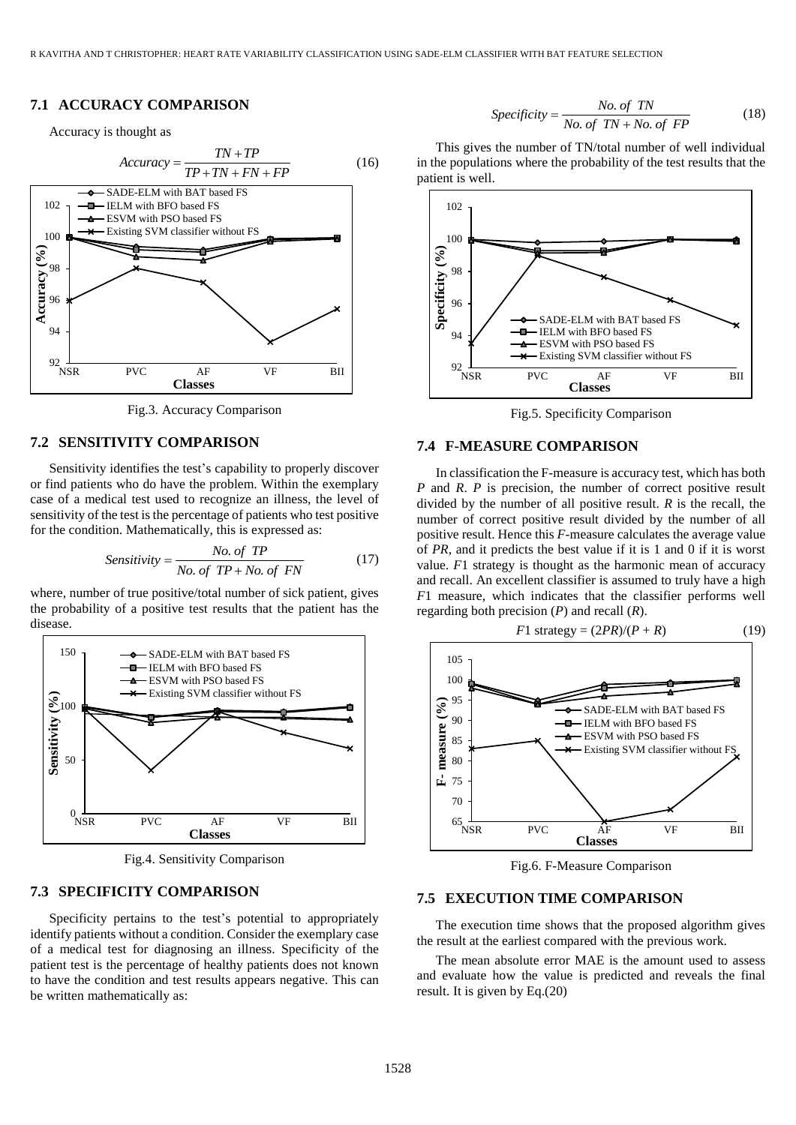# **7.1 ACCURACY COMPARISON**

Accuracy is thought as



Fig.3. Accuracy Comparison

### **7.2 SENSITIVITY COMPARISON**

Sensitivity identifies the test's capability to properly discover or find patients who do have the problem. Within the exemplary case of a medical test used to recognize an illness, the level of sensitivity of the test is the percentage of patients who test positive

for the condition. Mathematically, this is expressed as:  
\n*Sensitivity* = 
$$
\frac{No. of TP}{No. of TP + No. of FN}
$$
 (17)

where, number of true positive/total number of sick patient, gives the probability of a positive test results that the patient has the disease.



Fig.4. Sensitivity Comparison

### **7.3 SPECIFICITY COMPARISON**

Specificity pertains to the test's potential to appropriately identify patients without a condition. Consider the exemplary case of a medical test for diagnosing an illness. Specificity of the patient test is the percentage of healthy patients does not known to have the condition and test results appears negative. This can be written mathematically as:

$$
Specificity = \frac{No. \text{ of } TN}{No. \text{ of } TN + No. \text{ of } FP}
$$
 (18)

This gives the number of TN/total number of well individual in the populations where the probability of the test results that the patient is well.



Fig.5. Specificity Comparison

### **7.4 F-MEASURE COMPARISON**

In classification the F-measure is accuracy test, which has both *P* and *R*. *P* is precision, the number of correct positive result divided by the number of all positive result. *R* is the recall, the number of correct positive result divided by the number of all positive result. Hence this *F*-measure calculates the average value of *PR*, and it predicts the best value if it is 1 and 0 if it is worst value. *F*1 strategy is thought as the harmonic mean of accuracy and recall. An excellent classifier is assumed to truly have a high *F*1 measure, which indicates that the classifier performs well regarding both precision (*P*) and recall (*R*).



Fig.6. F-Measure Comparison

### **7.5 EXECUTION TIME COMPARISON**

The execution time shows that the proposed algorithm gives the result at the earliest compared with the previous work.

The mean absolute error MAE is the amount used to assess and evaluate how the value is predicted and reveals the final result. It is given by Eq.(20)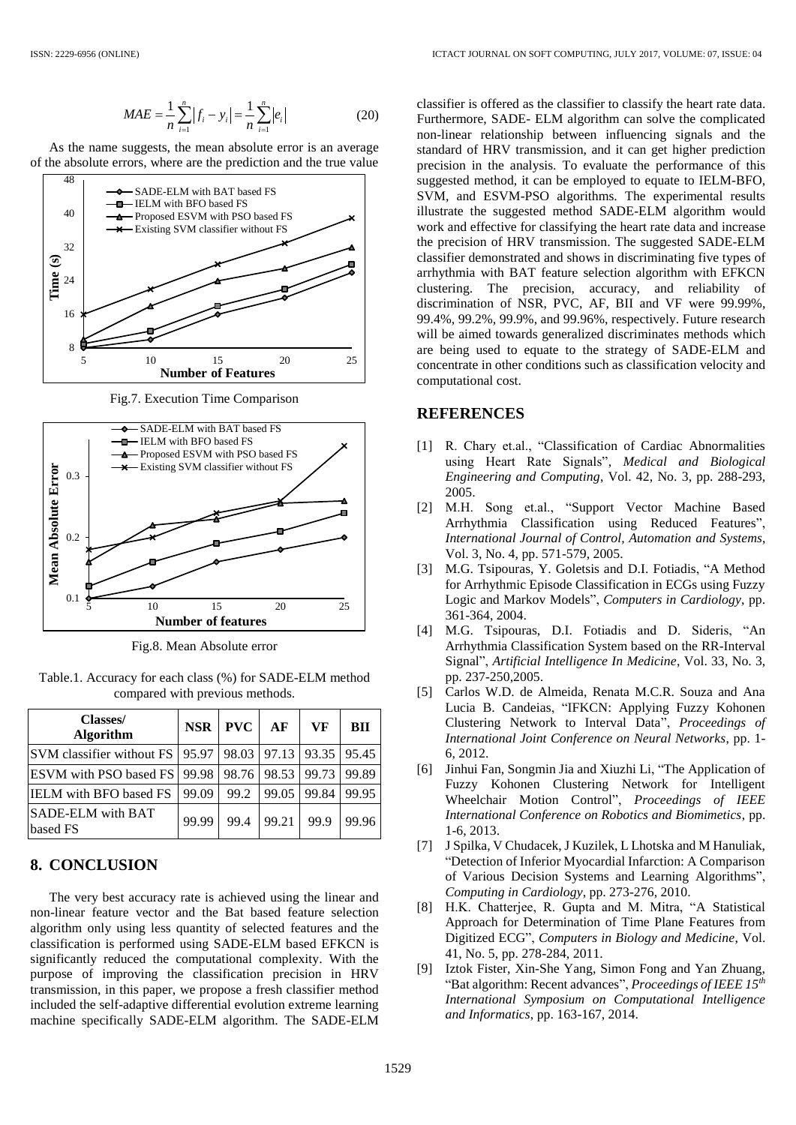$$
MAE = \frac{1}{n} \sum_{i=1}^{n} |f_i - y_i| = \frac{1}{n} \sum_{i=1}^{n} |e_i|
$$
 (20)

As the name suggests, the mean absolute error is an average of the absolute errors, where are the prediction and the true value



Fig.7. Execution Time Comparison



Fig.8. Mean Absolute error

Table.1. Accuracy for each class (%) for SADE-ELM method compared with previous methods.

| <b>Classes/</b><br><b>Algorithm</b>                               | <b>NSR</b> | PVC         | AF    | VF    | <b>BII</b> |
|-------------------------------------------------------------------|------------|-------------|-------|-------|------------|
| SVM classifier without FS   95.97   98.03   97.13   93.35   95.45 |            |             |       |       |            |
| ESVM with PSO based FS   99.98                                    |            | 98.76 98.53 |       | 99.73 | 99.89      |
| <b>IELM</b> with BFO based FS                                     | 99.09      | 99.2        | 99.05 | 99.84 | 99.95      |
| <b>SADE-ELM</b> with BAT<br>based FS                              | 99.99      | 99.4        | 99.21 | 99.9  | 99.96      |

### **8. CONCLUSION**

The very best accuracy rate is achieved using the linear and non-linear feature vector and the Bat based feature selection algorithm only using less quantity of selected features and the classification is performed using SADE-ELM based EFKCN is significantly reduced the computational complexity. With the purpose of improving the classification precision in HRV transmission, in this paper, we propose a fresh classifier method included the self-adaptive differential evolution extreme learning machine specifically SADE-ELM algorithm. The SADE-ELM classifier is offered as the classifier to classify the heart rate data. Furthermore, SADE- ELM algorithm can solve the complicated non-linear relationship between influencing signals and the standard of HRV transmission, and it can get higher prediction precision in the analysis. To evaluate the performance of this suggested method, it can be employed to equate to IELM-BFO, SVM, and ESVM-PSO algorithms. The experimental results illustrate the suggested method SADE-ELM algorithm would work and effective for classifying the heart rate data and increase the precision of HRV transmission. The suggested SADE-ELM classifier demonstrated and shows in discriminating five types of arrhythmia with BAT feature selection algorithm with EFKCN clustering. The precision, accuracy, and reliability of discrimination of NSR, PVC, AF, BII and VF were 99.99%, 99.4%, 99.2%, 99.9%, and 99.96%, respectively. Future research will be aimed towards generalized discriminates methods which are being used to equate to the strategy of SADE-ELM and concentrate in other conditions such as classification velocity and computational cost.

### **REFERENCES**

- [1] R. Chary et.al., "Classification of Cardiac Abnormalities using Heart Rate Signals", *Medical and Biological Engineering and Computing*, Vol. 42, No. 3, pp. 288-293, 2005.
- [2] M.H. Song et.al., "Support Vector Machine Based Arrhythmia Classification using Reduced Features", *International Journal of Control, Automation and Systems*, Vol. 3, No. 4, pp. 571-579, 2005.
- [3] M.G. Tsipouras, Y. Goletsis and D.I. Fotiadis, "A Method for Arrhythmic Episode Classification in ECGs using Fuzzy Logic and Markov Models", *Computers in Cardiology*, pp. 361-364, 2004.
- [4] M.G. Tsipouras, D.I. Fotiadis and D. Sideris, "An Arrhythmia Classification System based on the RR-Interval Signal", *Artificial Intelligence In Medicine*, Vol. 33, No. 3, pp. 237-250,2005.
- [5] Carlos W.D. de Almeida, Renata M.C.R. Souza and Ana Lucia B. Candeias, "IFKCN: Applying Fuzzy Kohonen Clustering Network to Interval Data", *Proceedings of International Joint Conference on Neural Networks*, pp. 1- 6, 2012.
- [6] Jinhui Fan, Songmin Jia and Xiuzhi Li, "The Application of Fuzzy Kohonen Clustering Network for Intelligent Wheelchair Motion Control", *Proceedings of IEEE International Conference on Robotics and Biomimetics*, pp. 1-6, 2013.
- [7] J Spilka, V Chudacek, J Kuzilek, L Lhotska and M Hanuliak, "Detection of Inferior Myocardial Infarction: A Comparison of Various Decision Systems and Learning Algorithms", *Computing in Cardiology*, pp. 273-276, 2010.
- [8] H.K. Chatterjee, R. Gupta and M. Mitra, "A Statistical Approach for Determination of Time Plane Features from Digitized ECG", *Computers in Biology and Medicine*, Vol. 41, No. 5, pp. 278-284, 2011.
- [9] Iztok Fister, Xin-She Yang, Simon Fong and Yan Zhuang, "Bat algorithm: Recent advances", *Proceedings of IEEE 15th International Symposium on Computational Intelligence and Informatics*, pp. 163-167, 2014.